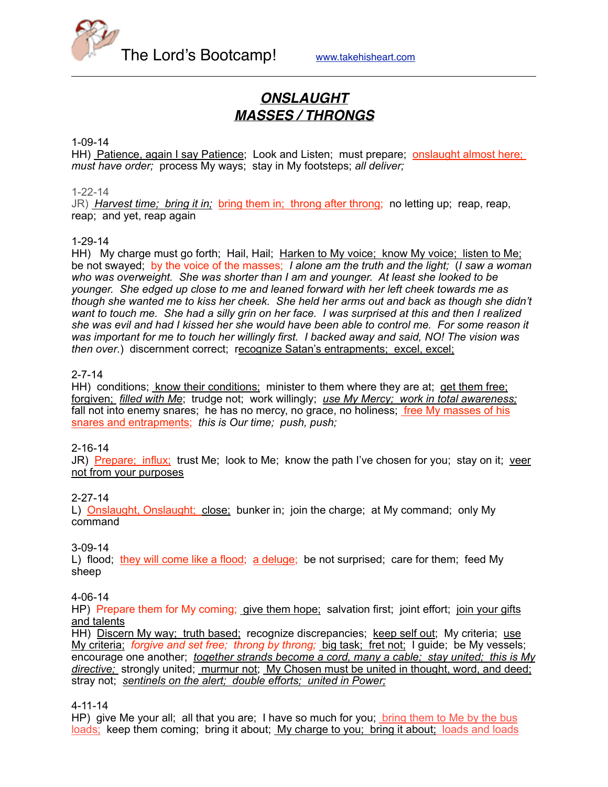

# *ONSLAUGHT MASSES / THRONGS*

#### 1-09-14

HH) Patience, again I say Patience; Look and Listen; must prepare; onslaught almost here; *must have order;* process My ways; stay in My footsteps; *all deliver;*

#### 1-22-14

JR) *Harvest time; bring it in;* bring them in; throng after throng; no letting up; reap, reap, reap; and yet, reap again

#### 1-29-14

HH) My charge must go forth; Hail, Hail; Harken to My voice; know My voice; listen to Me; be not swayed; by the voice of the masses; *I alone am the truth and the light;* (*I saw a woman who was overweight. She was shorter than I am and younger. At least she looked to be younger. She edged up close to me and leaned forward with her left cheek towards me as though she wanted me to kiss her cheek. She held her arms out and back as though she didn't want to touch me. She had a silly grin on her face. I was surprised at this and then I realized she was evil and had I kissed her she would have been able to control me. For some reason it was important for me to touch her willingly first. I backed away and said, NO! The vision was then over*.) discernment correct; recognize Satan's entrapments; excel, excel;

#### 2-7-14

HH) conditions; know their conditions; minister to them where they are at; get them free; forgiven; *filled with Me*; trudge not; work willingly; *use My Mercy; work in total awareness;* fall not into enemy snares; he has no mercy, no grace, no holiness; free My masses of his snares and entrapments; *this is Our time; push, push;*

#### 2-16-14

JR) Prepare; influx; trust Me; look to Me; know the path I've chosen for you; stay on it; veer not from your purposes

#### 2-27-14

L) Onslaught, Onslaught; close; bunker in; join the charge; at My command; only My command

#### 3-09-14

L) flood; they will come like a flood; a deluge; be not surprised; care for them; feed My sheep

#### 4-06-14

HP) Prepare them for My coming; give them hope; salvation first; joint effort; join your gifts and talents

HH) Discern My way; truth based; recognize discrepancies; keep self out; My criteria; use My criteria; *forgive and set free; throng by throng;* big task; fret not; I guide; be My vessels; encourage one another; *together strands become a cord, many a cable; stay united; this is My directive;* strongly united; murmur not; My Chosen must be united in thought, word, and deed; stray not; *sentinels on the alert; double efforts; united in Power;*

4-11-14

HP) give Me your all; all that you are; I have so much for you; bring them to Me by the bus loads; keep them coming; bring it about; My charge to you; bring it about; loads and loads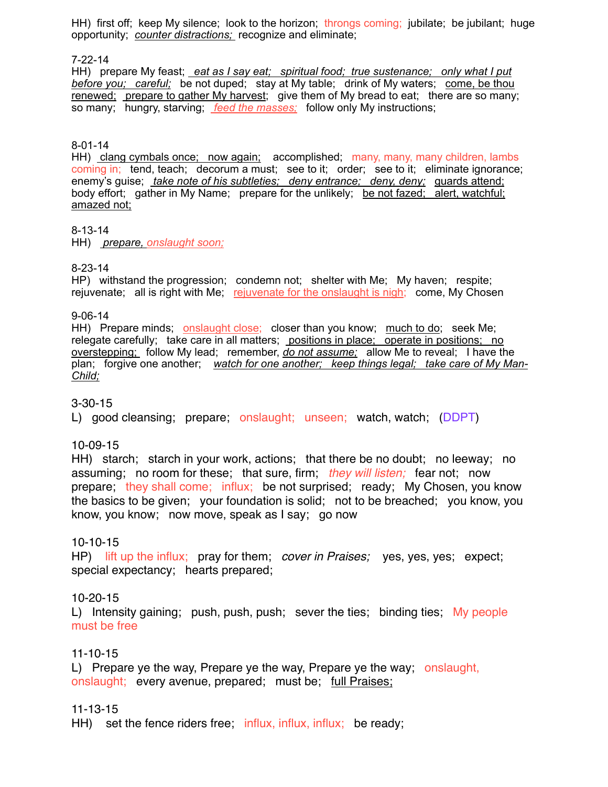HH) first off; keep My silence; look to the horizon; throngs coming; jubilate; be jubilant; huge opportunity; *counter distractions;* recognize and eliminate;

#### 7-22-14

HH) prepare My feast; *eat as I say eat; spiritual food; true sustenance; only what I put before you; careful;* be not duped; stay at My table; drink of My waters; come, be thou renewed; prepare to gather My harvest; give them of My bread to eat; there are so many; so many; hungry, starving; *feed the masses;* follow only My instructions;

#### 8-01-14

HH) clang cymbals once; now again; accomplished; many, many, many children, lambs coming in; tend, teach; decorum a must; see to it; order; see to it; eliminate ignorance; enemy's guise; *take note of his subtleties; deny entrance; deny, deny;* guards attend; body effort; gather in My Name; prepare for the unlikely; be not fazed; alert, watchful; amazed not;

#### 8-13-14

HH) *prepare, onslaught soon;*

### 8-23-14

HP) withstand the progression; condemn not; shelter with Me; My haven; respite; rejuvenate; all is right with Me; rejuvenate for the onslaught is nigh; come, My Chosen

#### 9-06-14

HH) Prepare minds; onslaught close; closer than you know; much to do; seek Me; relegate carefully; take care in all matters; positions in place; operate in positions; no overstepping; follow My lead; remember, *do not assume;* allow Me to reveal; I have the plan; forgive one another; *watch for one another; keep things legal; take care of My Man-Child;*

### 3-30-15

L) good cleansing; prepare; onslaught; unseen; watch, watch; (DDPT)

### 10-09-15

HH) starch; starch in your work, actions; that there be no doubt; no leeway; no assuming; no room for these; that sure, firm; *they will listen;* fear not; now prepare; they shall come; influx; be not surprised; ready; My Chosen, you know the basics to be given; your foundation is solid; not to be breached; you know, you know, you know; now move, speak as I say; go now

### 10-10-15

HP) lift up the influx; pray for them; *cover in Praises;* yes, yes, yes; expect; special expectancy; hearts prepared;

### 10-20-15

L) Intensity gaining; push, push, push; sever the ties; binding ties; My people must be free

## 11-10-15

L) Prepare ye the way, Prepare ye the way, Prepare ye the way; onslaught, onslaught; every avenue, prepared; must be; full Praises;

### 11-13-15

HH) set the fence riders free; influx, influx, influx; be ready;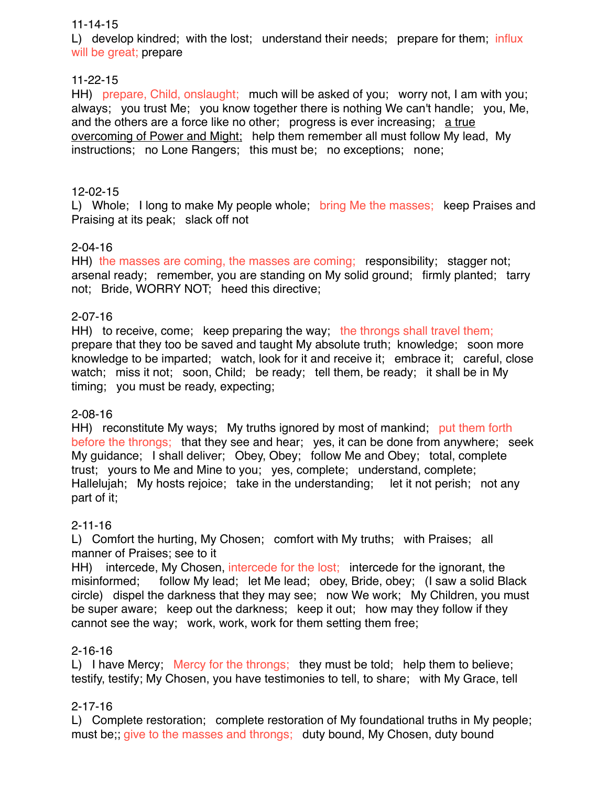### 11-14-15

L) develop kindred; with the lost; understand their needs; prepare for them: influx will be great; prepare

## 11-22-15

HH) prepare, Child, onslaught; much will be asked of you; worry not, I am with you; always; you trust Me; you know together there is nothing We can't handle; you, Me, and the others are a force like no other; progress is ever increasing; a true overcoming of Power and Might; help them remember all must follow My lead, My instructions; no Lone Rangers; this must be; no exceptions; none;

## 12-02-15

L) Whole; I long to make My people whole; bring Me the masses; keep Praises and Praising at its peak; slack off not

## 2-04-16

HH) the masses are coming, the masses are coming; responsibility; stagger not; arsenal ready; remember, you are standing on My solid ground; firmly planted; tarry not; Bride, WORRY NOT; heed this directive;

## 2-07-16

HH) to receive, come; keep preparing the way; the throngs shall travel them; prepare that they too be saved and taught My absolute truth; knowledge; soon more knowledge to be imparted; watch, look for it and receive it; embrace it; careful, close watch; miss it not; soon, Child; be ready; tell them, be ready; it shall be in My timing; you must be ready, expecting;

## 2-08-16

HH) reconstitute My ways; My truths ignored by most of mankind; put them forth before the throngs; that they see and hear; yes, it can be done from anywhere; seek My guidance; I shall deliver; Obey, Obey; follow Me and Obey; total, complete trust; yours to Me and Mine to you; yes, complete; understand, complete; Hallelujah; My hosts rejoice; take in the understanding; let it not perish; not any part of it;

## 2-11-16

L) Comfort the hurting, My Chosen; comfort with My truths; with Praises; all manner of Praises; see to it

HH) intercede, My Chosen, intercede for the lost; intercede for the ignorant, the misinformed; follow My lead; let Me lead; obey, Bride, obey; (I saw a solid Black circle) dispel the darkness that they may see; now We work; My Children, you must be super aware; keep out the darkness; keep it out; how may they follow if they cannot see the way; work, work, work for them setting them free;

## 2-16-16

L) I have Mercy; Mercy for the throngs; they must be told; help them to believe; testify, testify; My Chosen, you have testimonies to tell, to share; with My Grace, tell

## 2-17-16

L) Complete restoration; complete restoration of My foundational truths in My people; must be; give to the masses and throngs; duty bound, My Chosen, duty bound